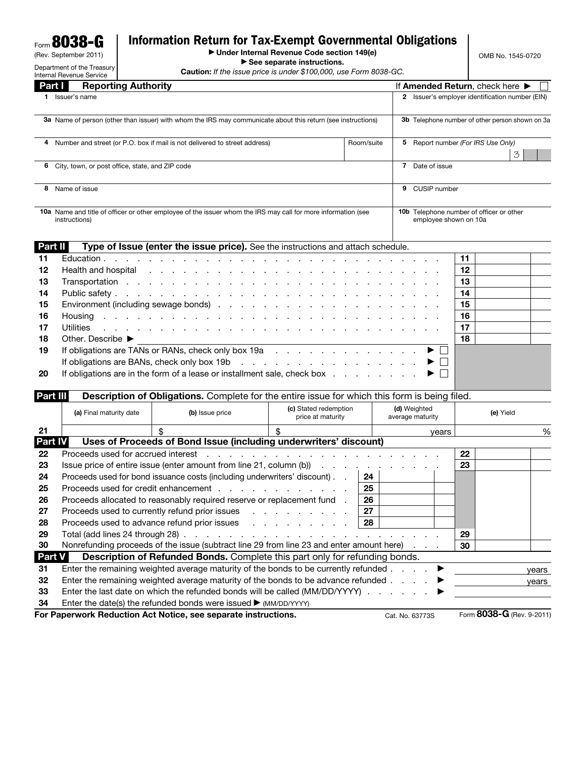Form 8038-G

(Rev. September 2011) Department of the Treasury

## Information Return for Tax-Exempt Governmental Obligations

▶ Under Internal Revenue Code section 149(e) ▶ See separate instructions.

OMB No. 1545-0720

Caution: *If the issue price is under \$100,000, use Form 8038-GC.*

|                | Internal Revenue Service                                                                                     | <b>Caution.</b> If the issue price is under $\psi$ roo, over, use Form over-GC.                                                                                                                                               |                                                                                                                 |                |                                                                   |           |                                       |       |
|----------------|--------------------------------------------------------------------------------------------------------------|-------------------------------------------------------------------------------------------------------------------------------------------------------------------------------------------------------------------------------|-----------------------------------------------------------------------------------------------------------------|----------------|-------------------------------------------------------------------|-----------|---------------------------------------|-------|
|                | <b>Reporting Authority</b><br>Part I                                                                         |                                                                                                                                                                                                                               |                                                                                                                 |                | If Amended Return, check here $\blacktriangleright$               |           |                                       |       |
|                | 1 Issuer's name                                                                                              |                                                                                                                                                                                                                               |                                                                                                                 |                | 2 Issuer's employer identification number (EIN)                   |           |                                       |       |
|                | 3a Name of person (other than issuer) with whom the IRS may communicate about this return (see instructions) |                                                                                                                                                                                                                               |                                                                                                                 |                | 3b Telephone number of other person shown on 3a                   |           |                                       |       |
| 4              |                                                                                                              | Number and street (or P.O. box if mail is not delivered to street address)                                                                                                                                                    |                                                                                                                 | Room/suite     | 5 Report number (For IRS Use Only)                                |           | $\mathfrak{Z}% _{C}=\mathfrak{Z}_{C}$ |       |
|                | 6 City, town, or post office, state, and ZIP code                                                            |                                                                                                                                                                                                                               |                                                                                                                 |                | 7 Date of issue                                                   |           |                                       |       |
|                | 8 Name of issue<br>9 CUSIP number                                                                            |                                                                                                                                                                                                                               |                                                                                                                 |                |                                                                   |           |                                       |       |
|                | instructions)                                                                                                | 10a Name and title of officer or other employee of the issuer whom the IRS may call for more information (see                                                                                                                 |                                                                                                                 |                | 10b Telephone number of officer or other<br>employee shown on 10a |           |                                       |       |
| Part II        |                                                                                                              | Type of Issue (enter the issue price). See the instructions and attach schedule.                                                                                                                                              |                                                                                                                 |                |                                                                   |           |                                       |       |
| 11             | Education.                                                                                                   |                                                                                                                                                                                                                               |                                                                                                                 |                |                                                                   | 11        |                                       |       |
| 12             |                                                                                                              | Health and hospital resources are resources and resources are resourced in the Health Point and Resources are resources and resources are resources and resources are resources and resources are resources and resources are |                                                                                                                 |                |                                                                   | 12        |                                       |       |
| 13             |                                                                                                              |                                                                                                                                                                                                                               |                                                                                                                 |                |                                                                   | 13        |                                       |       |
| 14             |                                                                                                              |                                                                                                                                                                                                                               |                                                                                                                 |                |                                                                   | 14        |                                       |       |
| 15             |                                                                                                              |                                                                                                                                                                                                                               |                                                                                                                 |                |                                                                   | 15        |                                       |       |
| 16             |                                                                                                              |                                                                                                                                                                                                                               |                                                                                                                 |                |                                                                   | 16        |                                       |       |
| 17             | <b>Utilities</b>                                                                                             | a construction of the construction of the construction of the construction of the construction of the construction of the construction of the construction of the construction of the construction of the construction of the |                                                                                                                 |                |                                                                   | 17        |                                       |       |
| 18             | Other. Describe ▶                                                                                            |                                                                                                                                                                                                                               |                                                                                                                 |                |                                                                   | 18        |                                       |       |
| 19             |                                                                                                              | If obligations are TANs or RANs, check only box 19a                                                                                                                                                                           |                                                                                                                 |                |                                                                   |           |                                       |       |
|                |                                                                                                              |                                                                                                                                                                                                                               |                                                                                                                 |                |                                                                   |           |                                       |       |
|                | If obligations are in the form of a lease or installment sale, check box                                     |                                                                                                                                                                                                                               |                                                                                                                 |                |                                                                   |           |                                       |       |
| 20             |                                                                                                              |                                                                                                                                                                                                                               |                                                                                                                 |                |                                                                   |           |                                       |       |
| Part III       |                                                                                                              | Description of Obligations. Complete for the entire issue for which this form is being filed.                                                                                                                                 |                                                                                                                 |                |                                                                   |           |                                       |       |
|                |                                                                                                              |                                                                                                                                                                                                                               | (c) Stated redemption                                                                                           |                | (d) Weighted                                                      |           |                                       |       |
|                | (a) Final maturity date                                                                                      | (b) Issue price                                                                                                                                                                                                               | price at maturity                                                                                               |                | average maturity                                                  | (e) Yield |                                       |       |
| 21             |                                                                                                              | \$                                                                                                                                                                                                                            | \$                                                                                                              |                | years                                                             | %         |                                       |       |
| <b>Part IV</b> |                                                                                                              | Uses of Proceeds of Bond Issue (including underwriters' discount)                                                                                                                                                             |                                                                                                                 |                |                                                                   |           |                                       |       |
| 22             | Proceeds used for accrued interest                                                                           |                                                                                                                                                                                                                               | the contract of the contract of the contract of the contract of the contract of the contract of the contract of |                |                                                                   | 22        |                                       |       |
| 23             |                                                                                                              | Issue price of entire issue (enter amount from line 21, column (b))                                                                                                                                                           |                                                                                                                 |                |                                                                   | 23        |                                       |       |
| 24             |                                                                                                              | Proceeds used for bond issuance costs (including underwriters' discount)                                                                                                                                                      |                                                                                                                 | 24             |                                                                   |           |                                       |       |
| 25             |                                                                                                              | Proceeds used for credit enhancement                                                                                                                                                                                          |                                                                                                                 | 25             |                                                                   |           |                                       |       |
| 26             |                                                                                                              | Proceeds allocated to reasonably required reserve or replacement fund                                                                                                                                                         |                                                                                                                 | 26             |                                                                   |           |                                       |       |
| 27             |                                                                                                              | Proceeds used to currently refund prior issues<br>and a state                                                                                                                                                                 |                                                                                                                 | 27             |                                                                   |           |                                       |       |
| 28             | Proceeds used to advance refund prior issues                                                                 |                                                                                                                                                                                                                               | $\mathbf{r}=\mathbf{r}$ .                                                                                       | 28             |                                                                   |           |                                       |       |
| 29             | Total (add lines 24 through 28)                                                                              | <b>Contract Contract</b>                                                                                                                                                                                                      | and a state of the state of the state                                                                           | and a state of |                                                                   | 29        |                                       |       |
| 30             |                                                                                                              | Nonrefunding proceeds of the issue (subtract line 29 from line 23 and enter amount here)                                                                                                                                      |                                                                                                                 |                |                                                                   | 30        |                                       |       |
| <b>Part V</b>  |                                                                                                              | Description of Refunded Bonds. Complete this part only for refunding bonds.                                                                                                                                                   |                                                                                                                 |                |                                                                   |           |                                       |       |
| 31             |                                                                                                              | Enter the remaining weighted average maturity of the bonds to be currently refunded.                                                                                                                                          |                                                                                                                 |                |                                                                   |           |                                       | years |
| 32             |                                                                                                              | Enter the remaining weighted average maturity of the bonds to be advance refunded.                                                                                                                                            |                                                                                                                 |                | $\sim$ $\sim$                                                     |           |                                       | years |
| 33             |                                                                                                              | Enter the last date on which the refunded bonds will be called (MM/DD/YYYY).                                                                                                                                                  |                                                                                                                 |                | $\mathbf{r}$ and $\mathbf{r}$                                     |           |                                       |       |
| 34             |                                                                                                              | Enter the date(s) the refunded bonds were issued $\blacktriangleright$ (MM/DD/YYYY)                                                                                                                                           |                                                                                                                 |                |                                                                   |           |                                       |       |
|                |                                                                                                              | For Paperwork Reduction Act Notice, see separate instructions.                                                                                                                                                                |                                                                                                                 |                | Cat. No. 63773S                                                   |           | Form 8038-G (Rev. 9-2011)             |       |